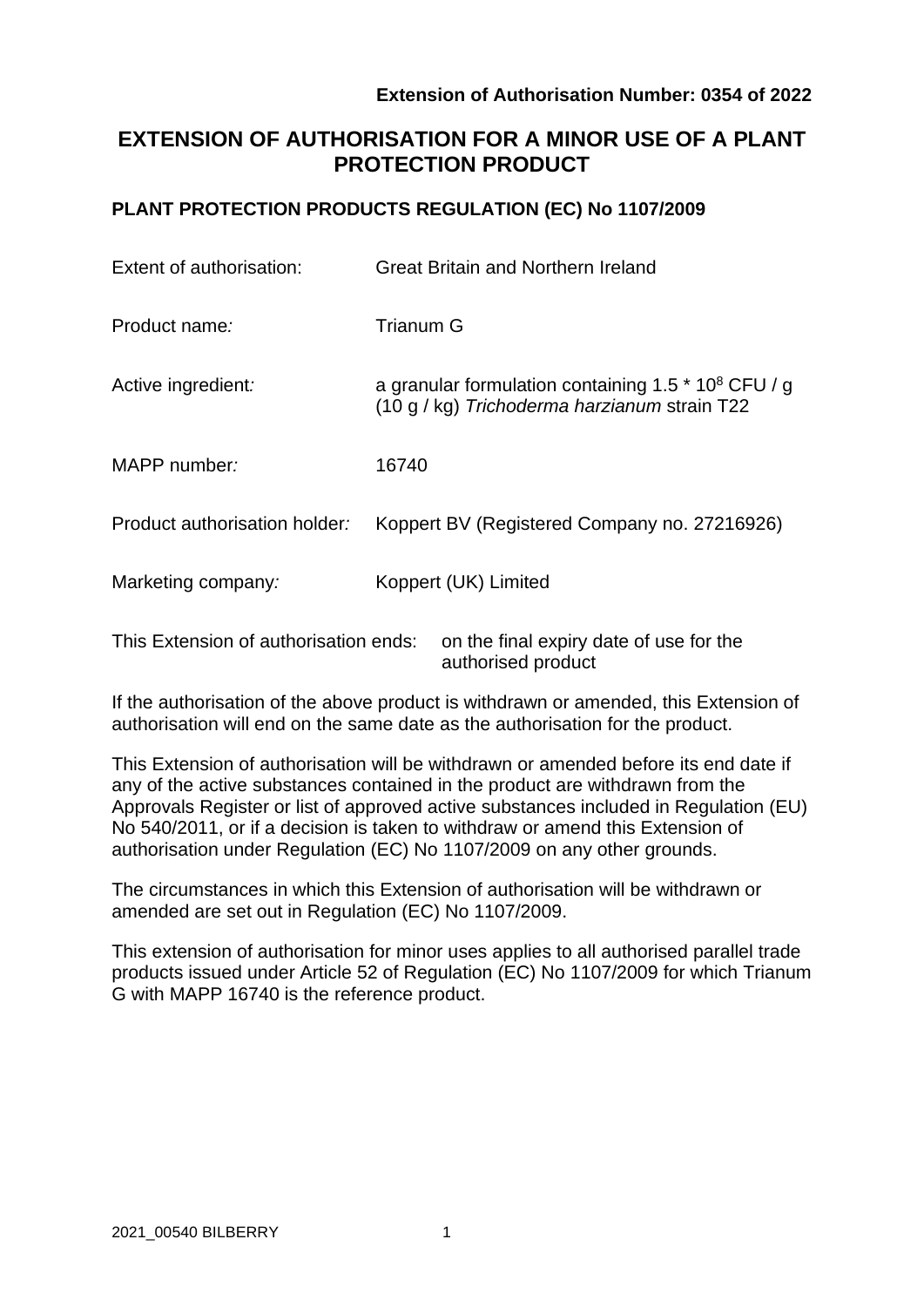# **EXTENSION OF AUTHORISATION FOR A MINOR USE OF A PLANT PROTECTION PRODUCT**

## **PLANT PROTECTION PRODUCTS REGULATION (EC) No 1107/2009**

| Extent of authorisation:              | <b>Great Britain and Northern Ireland</b>                                                                         |  |  |  |
|---------------------------------------|-------------------------------------------------------------------------------------------------------------------|--|--|--|
| Product name:                         | <b>Trianum G</b>                                                                                                  |  |  |  |
| Active ingredient:                    | a granular formulation containing 1.5 $*$ 10 <sup>8</sup> CFU / g<br>(10 g / kg) Trichoderma harzianum strain T22 |  |  |  |
| MAPP number:                          | 16740                                                                                                             |  |  |  |
| Product authorisation holder:         | Koppert BV (Registered Company no. 27216926)                                                                      |  |  |  |
| Marketing company:                    | Koppert (UK) Limited                                                                                              |  |  |  |
| This Extension of authorisation ends: | on the final expiry date of use for the                                                                           |  |  |  |

If the authorisation of the above product is withdrawn or amended, this Extension of authorisation will end on the same date as the authorisation for the product.

authorised product

This Extension of authorisation will be withdrawn or amended before its end date if any of the active substances contained in the product are withdrawn from the Approvals Register or list of approved active substances included in Regulation (EU) No 540/2011, or if a decision is taken to withdraw or amend this Extension of authorisation under Regulation (EC) No 1107/2009 on any other grounds.

The circumstances in which this Extension of authorisation will be withdrawn or amended are set out in Regulation (EC) No 1107/2009.

This extension of authorisation for minor uses applies to all authorised parallel trade products issued under Article 52 of Regulation (EC) No 1107/2009 for which Trianum G with MAPP 16740 is the reference product.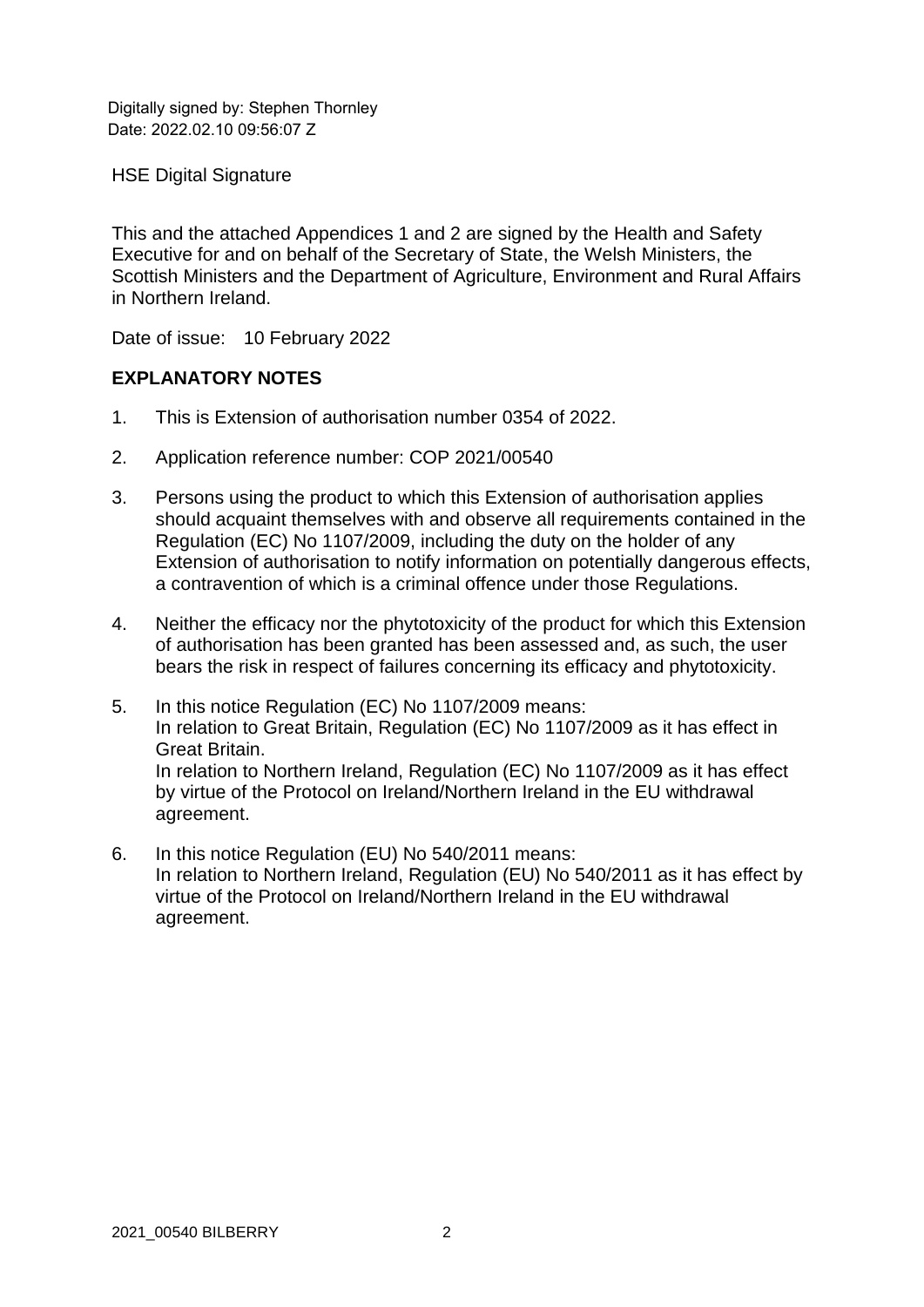Digitally signed by: Stephen Thornley Date: 2022.02.10 09:56:07 Z

HSE Digital Signature

This and the attached Appendices 1 and 2 are signed by the Health and Safety Executive for and on behalf of the Secretary of State, the Welsh Ministers, the Scottish Ministers and the Department of Agriculture, Environment and Rural Affairs in Northern Ireland.

Date of issue: 10 February 2022

### **EXPLANATORY NOTES**

- 1. This is Extension of authorisation number 0354 of 2022.
- 2. Application reference number: COP 2021/00540
- 3. Persons using the product to which this Extension of authorisation applies should acquaint themselves with and observe all requirements contained in the Regulation (EC) No 1107/2009, including the duty on the holder of any Extension of authorisation to notify information on potentially dangerous effects, a contravention of which is a criminal offence under those Regulations.
- 4. Neither the efficacy nor the phytotoxicity of the product for which this Extension of authorisation has been granted has been assessed and, as such, the user bears the risk in respect of failures concerning its efficacy and phytotoxicity.
- 5. In this notice Regulation (EC) No 1107/2009 means: In relation to Great Britain, Regulation (EC) No 1107/2009 as it has effect in Great Britain. In relation to Northern Ireland, Regulation (EC) No 1107/2009 as it has effect by virtue of the Protocol on Ireland/Northern Ireland in the EU withdrawal agreement.
- 6. In this notice Regulation (EU) No 540/2011 means: In relation to Northern Ireland, Regulation (EU) No 540/2011 as it has effect by virtue of the Protocol on Ireland/Northern Ireland in the EU withdrawal agreement.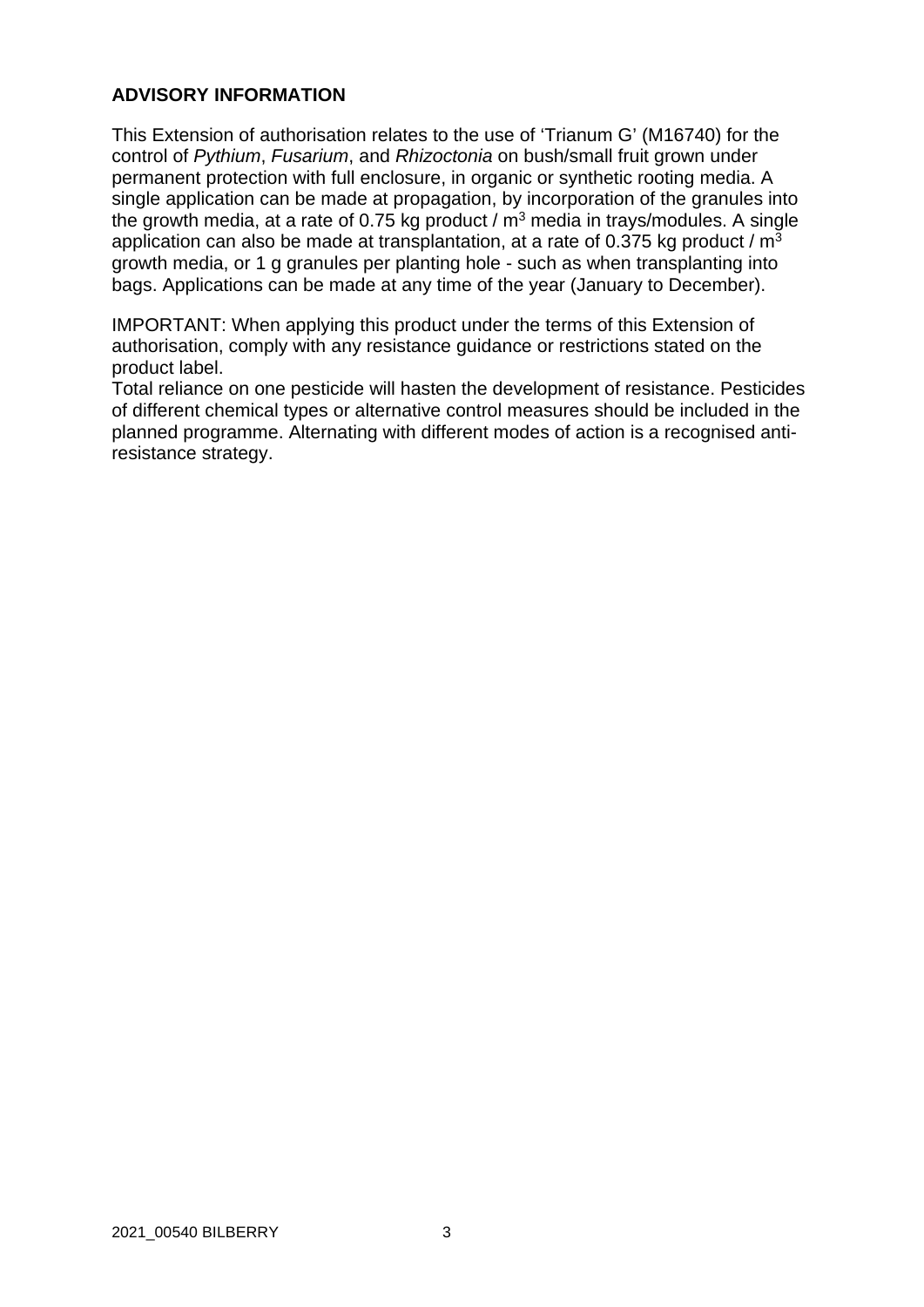## **ADVISORY INFORMATION**

This Extension of authorisation relates to the use of 'Trianum G' (M16740) for the control of *Pythium*, *Fusarium*, and *Rhizoctonia* on bush/small fruit grown under permanent protection with full enclosure, in organic or synthetic rooting media. A single application can be made at propagation, by incorporation of the granules into the growth media, at a rate of 0.75 kg product /  $m<sup>3</sup>$  media in trays/modules. A single application can also be made at transplantation, at a rate of 0.375 kg product /  $m<sup>3</sup>$ growth media, or 1 g granules per planting hole - such as when transplanting into bags. Applications can be made at any time of the year (January to December).

IMPORTANT: When applying this product under the terms of this Extension of authorisation, comply with any resistance guidance or restrictions stated on the product label.

Total reliance on one pesticide will hasten the development of resistance. Pesticides of different chemical types or alternative control measures should be included in the planned programme. Alternating with different modes of action is a recognised antiresistance strategy.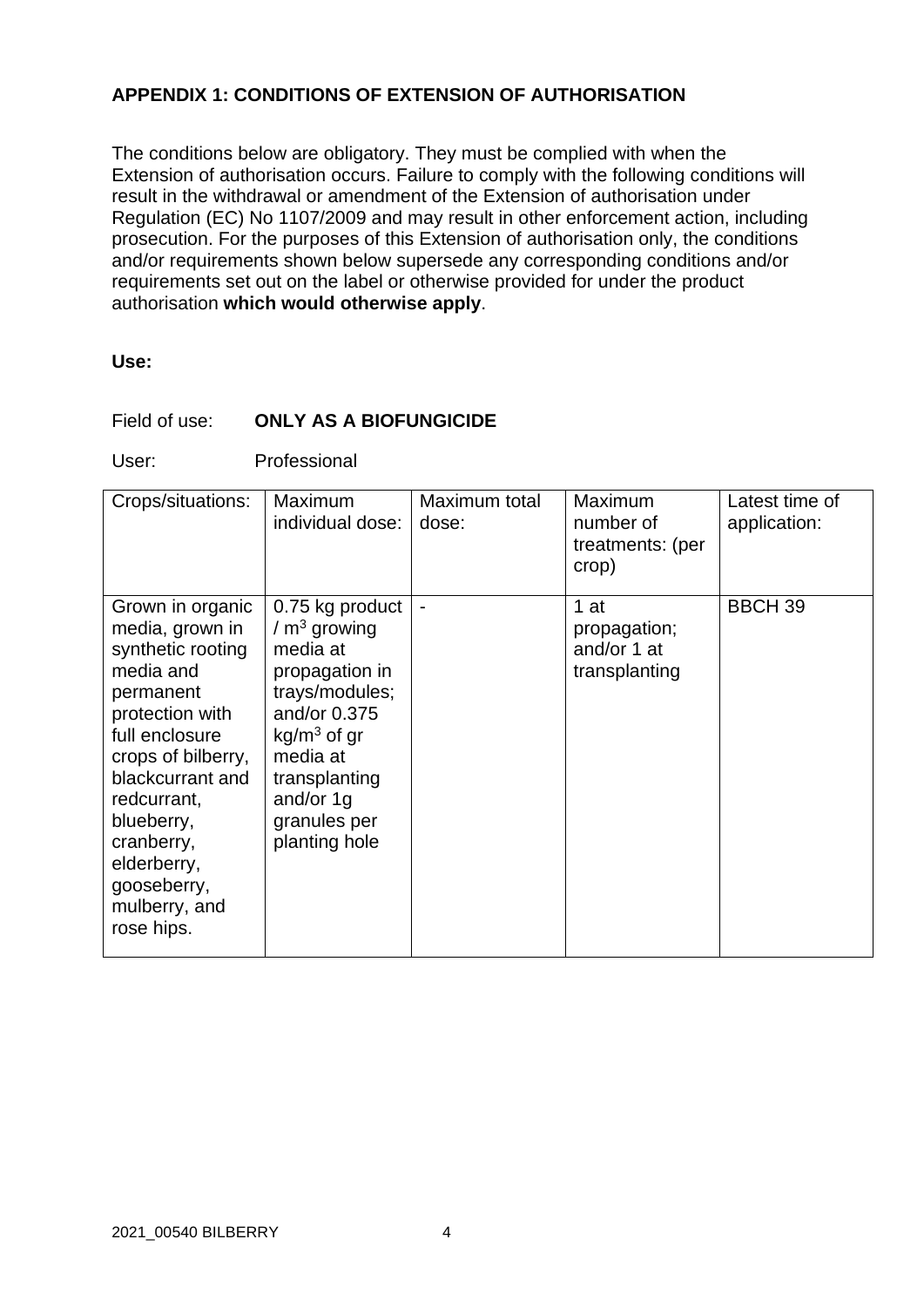## **APPENDIX 1: CONDITIONS OF EXTENSION OF AUTHORISATION**

The conditions below are obligatory. They must be complied with when the Extension of authorisation occurs. Failure to comply with the following conditions will result in the withdrawal or amendment of the Extension of authorisation under Regulation (EC) No 1107/2009 and may result in other enforcement action, including prosecution. For the purposes of this Extension of authorisation only, the conditions and/or requirements shown below supersede any corresponding conditions and/or requirements set out on the label or otherwise provided for under the product authorisation **which would otherwise apply**.

#### **Use:**

### Field of use: **ONLY AS A BIOFUNGICIDE**

User: Professional

| Crops/situations:                                                                                                                                                                                                                                                         | Maximum<br>individual dose:                                                                                                                                                                  | Maximum total<br>dose: | Maximum<br>number of<br>treatments: (per<br>crop)      | Latest time of<br>application: |
|---------------------------------------------------------------------------------------------------------------------------------------------------------------------------------------------------------------------------------------------------------------------------|----------------------------------------------------------------------------------------------------------------------------------------------------------------------------------------------|------------------------|--------------------------------------------------------|--------------------------------|
| Grown in organic<br>media, grown in<br>synthetic rooting<br>media and<br>permanent<br>protection with<br>full enclosure<br>crops of bilberry,<br>blackcurrant and<br>redcurrant,<br>blueberry,<br>cranberry,<br>elderberry,<br>gooseberry,<br>mulberry, and<br>rose hips. | 0.75 kg product<br>$/m3$ growing<br>media at<br>propagation in<br>trays/modules;<br>and/or 0.375<br>$kg/m3$ of gr<br>media at<br>transplanting<br>and/or 1g<br>granules per<br>planting hole |                        | $1$ at<br>propagation;<br>and/or 1 at<br>transplanting | <b>BBCH 39</b>                 |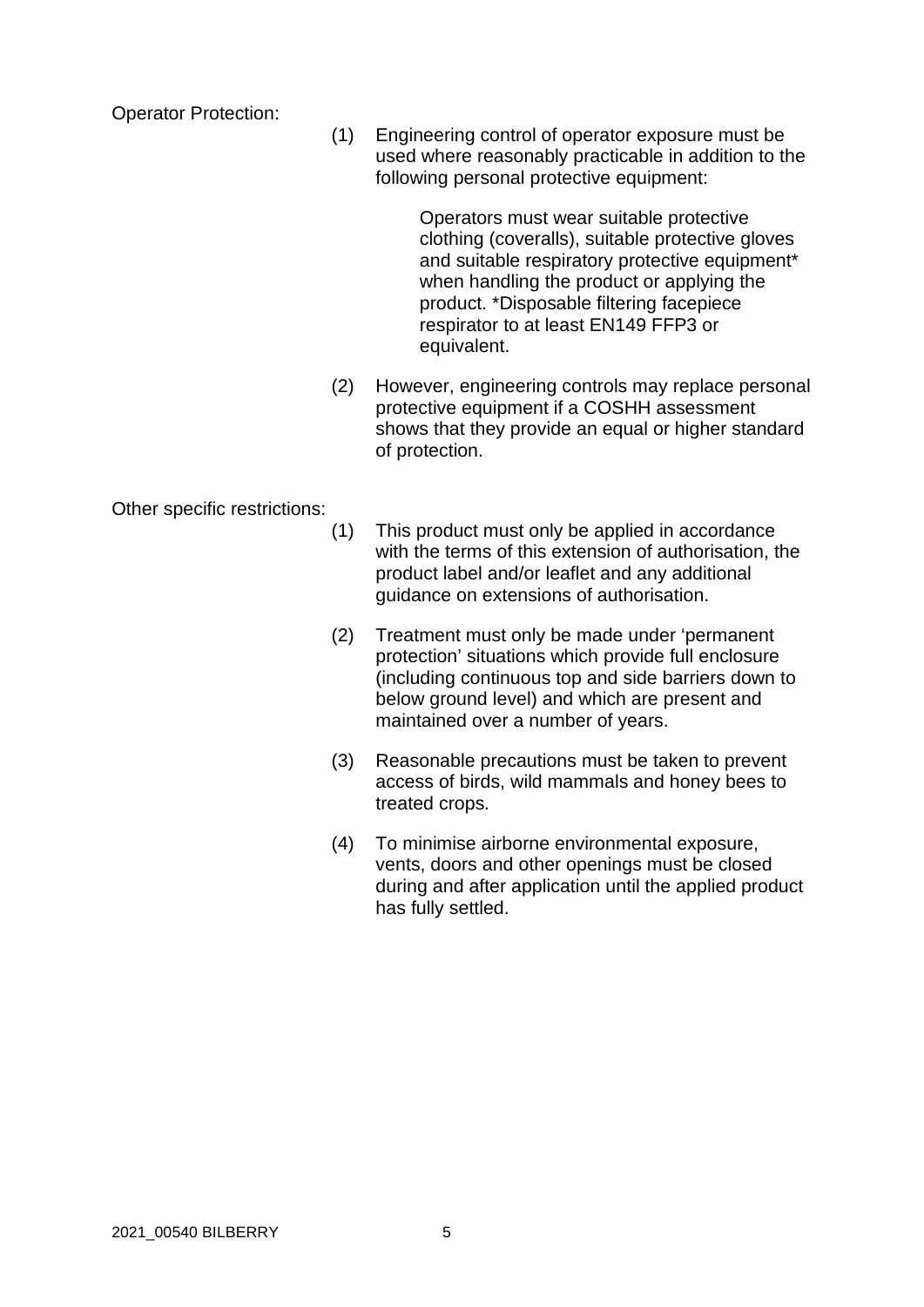Operator Protection:

(1) Engineering control of operator exposure must be used where reasonably practicable in addition to the following personal protective equipment:

> Operators must wear suitable protective clothing (coveralls), suitable protective gloves and suitable respiratory protective equipment\* when handling the product or applying the product. \*Disposable filtering facepiece respirator to at least EN149 FFP3 or equivalent.

(2) However, engineering controls may replace personal protective equipment if a COSHH assessment shows that they provide an equal or higher standard of protection.

Other specific restrictions:

- (1) This product must only be applied in accordance with the terms of this extension of authorisation, the product label and/or leaflet and any additional guidance on extensions of authorisation.
- (2) Treatment must only be made under 'permanent protection' situations which provide full enclosure (including continuous top and side barriers down to below ground level) and which are present and maintained over a number of years.
- (3) Reasonable precautions must be taken to prevent access of birds, wild mammals and honey bees to treated crops.
- (4) To minimise airborne environmental exposure, vents, doors and other openings must be closed during and after application until the applied product has fully settled.